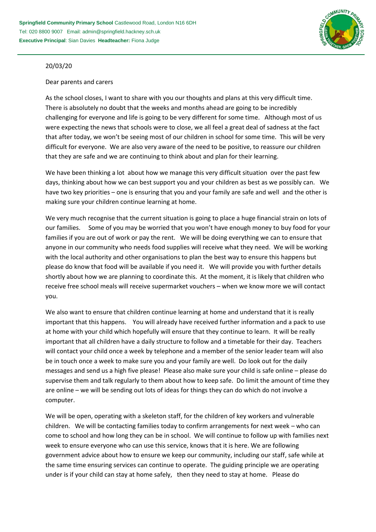

## 20/03/20

## Dear parents and carers

As the school closes, I want to share with you our thoughts and plans at this very difficult time. There is absolutely no doubt that the weeks and months ahead are going to be incredibly challenging for everyone and life is going to be very different for some time. Although most of us were expecting the news that schools were to close, we all feel a great deal of sadness at the fact that after today, we won't be seeing most of our children in school for some time. This will be very difficult for everyone. We are also very aware of the need to be positive, to reassure our children that they are safe and we are continuing to think about and plan for their learning.

We have been thinking a lot about how we manage this very difficult situation over the past few days, thinking about how we can best support you and your children as best as we possibly can. We have two key priorities – one is ensuring that you and your family are safe and well and the other is making sure your children continue learning at home.

We very much recognise that the current situation is going to place a huge financial strain on lots of our families. Some of you may be worried that you won't have enough money to buy food for your families if you are out of work or pay the rent. We will be doing everything we can to ensure that anyone in our community who needs food supplies will receive what they need. We will be working with the local authority and other organisations to plan the best way to ensure this happens but please do know that food will be available if you need it. We will provide you with further details shortly about how we are planning to coordinate this. At the moment, it is likely that children who receive free school meals will receive supermarket vouchers – when we know more we will contact you.

We also want to ensure that children continue learning at home and understand that it is really important that this happens. You will already have received further information and a pack to use at home with your child which hopefully will ensure that they continue to learn. It will be really important that all children have a daily structure to follow and a timetable for their day. Teachers will contact your child once a week by telephone and a member of the senior leader team will also be in touch once a week to make sure you and your family are well. Do look out for the daily messages and send us a high five please! Please also make sure your child is safe online – please do supervise them and talk regularly to them about how to keep safe. Do limit the amount of time they are online – we will be sending out lots of ideas for things they can do which do not involve a computer.

We will be open, operating with a skeleton staff, for the children of key workers and vulnerable children. We will be contacting families today to confirm arrangements for next week – who can come to school and how long they can be in school. We will continue to follow up with families next week to ensure everyone who can use this service, knows that it is here. We are following government advice about how to ensure we keep our community, including our staff, safe while at the same time ensuring services can continue to operate. The guiding principle we are operating under is if your child can stay at home safely, then they need to stay at home. Please do